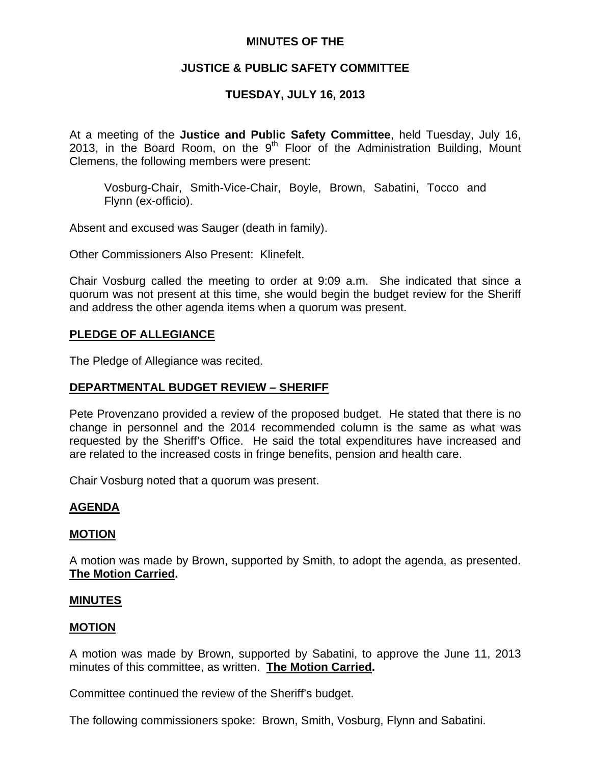## **MINUTES OF THE**

# **JUSTICE & PUBLIC SAFETY COMMITTEE**

# **TUESDAY, JULY 16, 2013**

At a meeting of the **Justice and Public Safety Committee**, held Tuesday, July 16, 2013, in the Board Room, on the  $9<sup>th</sup>$  Floor of the Administration Building, Mount Clemens, the following members were present:

Vosburg-Chair, Smith-Vice-Chair, Boyle, Brown, Sabatini, Tocco and Flynn (ex-officio).

Absent and excused was Sauger (death in family).

Other Commissioners Also Present: Klinefelt.

Chair Vosburg called the meeting to order at 9:09 a.m. She indicated that since a quorum was not present at this time, she would begin the budget review for the Sheriff and address the other agenda items when a quorum was present.

## **PLEDGE OF ALLEGIANCE**

The Pledge of Allegiance was recited.

# **DEPARTMENTAL BUDGET REVIEW – SHERIFF**

Pete Provenzano provided a review of the proposed budget. He stated that there is no change in personnel and the 2014 recommended column is the same as what was requested by the Sheriff's Office. He said the total expenditures have increased and are related to the increased costs in fringe benefits, pension and health care.

Chair Vosburg noted that a quorum was present.

# **AGENDA**

# **MOTION**

A motion was made by Brown, supported by Smith, to adopt the agenda, as presented. **The Motion Carried.** 

#### **MINUTES**

#### **MOTION**

A motion was made by Brown, supported by Sabatini, to approve the June 11, 2013 minutes of this committee, as written. **The Motion Carried.** 

Committee continued the review of the Sheriff's budget.

The following commissioners spoke: Brown, Smith, Vosburg, Flynn and Sabatini.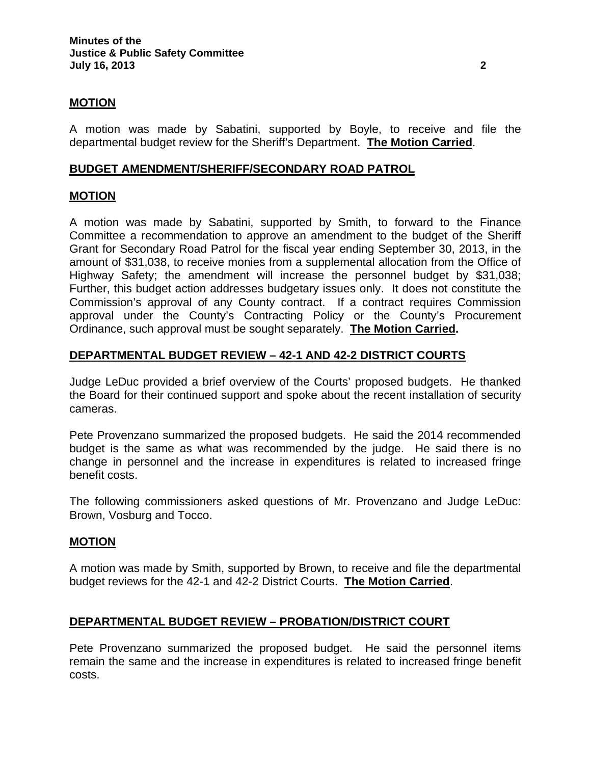## **MOTION**

A motion was made by Sabatini, supported by Boyle, to receive and file the departmental budget review for the Sheriff's Department. **The Motion Carried**.

### **BUDGET AMENDMENT/SHERIFF/SECONDARY ROAD PATROL**

## **MOTION**

A motion was made by Sabatini, supported by Smith, to forward to the Finance Committee a recommendation to approve an amendment to the budget of the Sheriff Grant for Secondary Road Patrol for the fiscal year ending September 30, 2013, in the amount of \$31,038, to receive monies from a supplemental allocation from the Office of Highway Safety; the amendment will increase the personnel budget by \$31,038; Further, this budget action addresses budgetary issues only. It does not constitute the Commission's approval of any County contract. If a contract requires Commission approval under the County's Contracting Policy or the County's Procurement Ordinance, such approval must be sought separately. **The Motion Carried.** 

## **DEPARTMENTAL BUDGET REVIEW – 42-1 AND 42-2 DISTRICT COURTS**

Judge LeDuc provided a brief overview of the Courts' proposed budgets. He thanked the Board for their continued support and spoke about the recent installation of security cameras.

Pete Provenzano summarized the proposed budgets. He said the 2014 recommended budget is the same as what was recommended by the judge. He said there is no change in personnel and the increase in expenditures is related to increased fringe benefit costs.

The following commissioners asked questions of Mr. Provenzano and Judge LeDuc: Brown, Vosburg and Tocco.

#### **MOTION**

A motion was made by Smith, supported by Brown, to receive and file the departmental budget reviews for the 42-1 and 42-2 District Courts. **The Motion Carried**.

#### **DEPARTMENTAL BUDGET REVIEW – PROBATION/DISTRICT COURT**

Pete Provenzano summarized the proposed budget. He said the personnel items remain the same and the increase in expenditures is related to increased fringe benefit costs.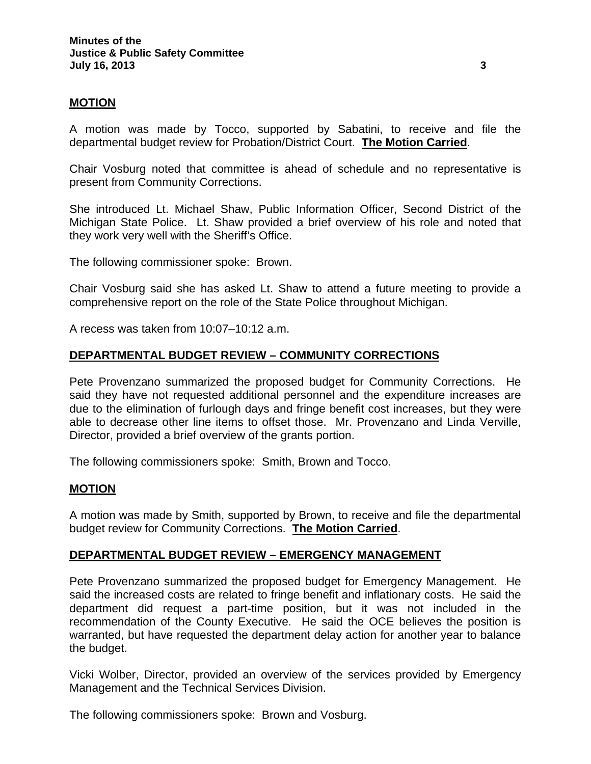### **MOTION**

A motion was made by Tocco, supported by Sabatini, to receive and file the departmental budget review for Probation/District Court. **The Motion Carried**.

Chair Vosburg noted that committee is ahead of schedule and no representative is present from Community Corrections.

She introduced Lt. Michael Shaw, Public Information Officer, Second District of the Michigan State Police. Lt. Shaw provided a brief overview of his role and noted that they work very well with the Sheriff's Office.

The following commissioner spoke: Brown.

Chair Vosburg said she has asked Lt. Shaw to attend a future meeting to provide a comprehensive report on the role of the State Police throughout Michigan.

A recess was taken from 10:07–10:12 a.m.

## **DEPARTMENTAL BUDGET REVIEW – COMMUNITY CORRECTIONS**

Pete Provenzano summarized the proposed budget for Community Corrections. He said they have not requested additional personnel and the expenditure increases are due to the elimination of furlough days and fringe benefit cost increases, but they were able to decrease other line items to offset those. Mr. Provenzano and Linda Verville, Director, provided a brief overview of the grants portion.

The following commissioners spoke: Smith, Brown and Tocco.

#### **MOTION**

A motion was made by Smith, supported by Brown, to receive and file the departmental budget review for Community Corrections. **The Motion Carried**.

#### **DEPARTMENTAL BUDGET REVIEW – EMERGENCY MANAGEMENT**

Pete Provenzano summarized the proposed budget for Emergency Management. He said the increased costs are related to fringe benefit and inflationary costs. He said the department did request a part-time position, but it was not included in the recommendation of the County Executive. He said the OCE believes the position is warranted, but have requested the department delay action for another year to balance the budget.

Vicki Wolber, Director, provided an overview of the services provided by Emergency Management and the Technical Services Division.

The following commissioners spoke: Brown and Vosburg.